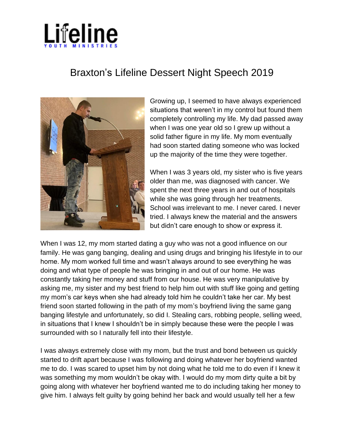

## Braxton's Lifeline Dessert Night Speech 2019



Growing up, I seemed to have always experienced situations that weren't in my control but found them completely controlling my life. My dad passed away when I was one year old so I grew up without a solid father figure in my life. My mom eventually had soon started dating someone who was locked up the majority of the time they were together.

When I was 3 years old, my sister who is five years older than me, was diagnosed with cancer. We spent the next three years in and out of hospitals while she was going through her treatments. School was irrelevant to me. I never cared. I never tried. I always knew the material and the answers but didn't care enough to show or express it.

When I was 12, my mom started dating a guy who was not a good influence on our family. He was gang banging, dealing and using drugs and bringing his lifestyle in to our home. My mom worked full time and wasn't always around to see everything he was doing and what type of people he was bringing in and out of our home. He was constantly taking her money and stuff from our house. He was very manipulative by asking me, my sister and my best friend to help him out with stuff like going and getting my mom's car keys when she had already told him he couldn't take her car. My best friend soon started following in the path of my mom's boyfriend living the same gang banging lifestyle and unfortunately, so did I. Stealing cars, robbing people, selling weed, in situations that I knew I shouldn't be in simply because these were the people I was surrounded with so I naturally fell into their lifestyle.

I was always extremely close with my mom, but the trust and bond between us quickly started to drift apart because I was following and doing whatever her boyfriend wanted me to do. I was scared to upset him by not doing what he told me to do even if I knew it was something my mom wouldn't be okay with. I would do my mom dirty quite a bit by going along with whatever her boyfriend wanted me to do including taking her money to give him. I always felt guilty by going behind her back and would usually tell her a few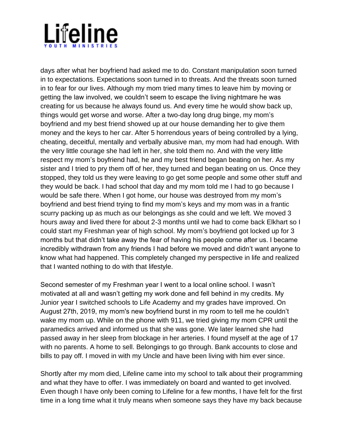

days after what her boyfriend had asked me to do. Constant manipulation soon turned in to expectations. Expectations soon turned in to threats. And the threats soon turned in to fear for our lives. Although my mom tried many times to leave him by moving or getting the law involved, we couldn't seem to escape the living nightmare he was creating for us because he always found us. And every time he would show back up, things would get worse and worse. After a two-day long drug binge, my mom's boyfriend and my best friend showed up at our house demanding her to give them money and the keys to her car. After 5 horrendous years of being controlled by a lying, cheating, deceitful, mentally and verbally abusive man, my mom had had enough. With the very little courage she had left in her, she told them no. And with the very little respect my mom's boyfriend had, he and my best friend began beating on her. As my sister and I tried to pry them off of her, they turned and began beating on us. Once they stopped, they told us they were leaving to go get some people and some other stuff and they would be back. I had school that day and my mom told me I had to go because I would be safe there. When I got home, our house was destroyed from my mom's boyfriend and best friend trying to find my mom's keys and my mom was in a frantic scurry packing up as much as our belongings as she could and we left. We moved 3 hours away and lived there for about 2-3 months until we had to come back Elkhart so I could start my Freshman year of high school. My mom's boyfriend got locked up for 3 months but that didn't take away the fear of having his people come after us. I became incredibly withdrawn from any friends I had before we moved and didn't want anyone to know what had happened. This completely changed my perspective in life and realized that I wanted nothing to do with that lifestyle.

Second semester of my Freshman year I went to a local online school. I wasn't motivated at all and wasn't getting my work done and fell behind in my credits. My Junior year I switched schools to Life Academy and my grades have improved. On August 27th, 2019, my mom's new boyfriend burst in my room to tell me he couldn't wake my mom up. While on the phone with 911, we tried giving my mom CPR until the paramedics arrived and informed us that she was gone. We later learned she had passed away in her sleep from blockage in her arteries. I found myself at the age of 17 with no parents. A home to sell. Belongings to go through. Bank accounts to close and bills to pay off. I moved in with my Uncle and have been living with him ever since.

Shortly after my mom died, Lifeline came into my school to talk about their programming and what they have to offer. I was immediately on board and wanted to get involved. Even though I have only been coming to Lifeline for a few months, I have felt for the first time in a long time what it truly means when someone says they have my back because